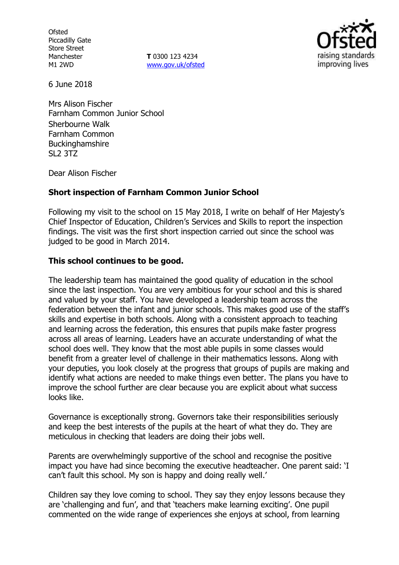**Ofsted** Piccadilly Gate Store Street Manchester M1 2WD

**T** 0300 123 4234 www.gov.uk/ofsted



6 June 2018

Mrs Alison Fischer Farnham Common Junior School Sherbourne Walk Farnham Common **Buckinghamshire** SL2 3TZ

Dear Alison Fischer

## **Short inspection of Farnham Common Junior School**

Following my visit to the school on 15 May 2018, I write on behalf of Her Majesty's Chief Inspector of Education, Children's Services and Skills to report the inspection findings. The visit was the first short inspection carried out since the school was judged to be good in March 2014.

## **This school continues to be good.**

The leadership team has maintained the good quality of education in the school since the last inspection. You are very ambitious for your school and this is shared and valued by your staff. You have developed a leadership team across the federation between the infant and junior schools. This makes good use of the staff's skills and expertise in both schools. Along with a consistent approach to teaching and learning across the federation, this ensures that pupils make faster progress across all areas of learning. Leaders have an accurate understanding of what the school does well. They know that the most able pupils in some classes would benefit from a greater level of challenge in their mathematics lessons. Along with your deputies, you look closely at the progress that groups of pupils are making and identify what actions are needed to make things even better. The plans you have to improve the school further are clear because you are explicit about what success looks like.

Governance is exceptionally strong. Governors take their responsibilities seriously and keep the best interests of the pupils at the heart of what they do. They are meticulous in checking that leaders are doing their jobs well.

Parents are overwhelmingly supportive of the school and recognise the positive impact you have had since becoming the executive headteacher. One parent said: 'I can't fault this school. My son is happy and doing really well.'

Children say they love coming to school. They say they enjoy lessons because they are 'challenging and fun', and that 'teachers make learning exciting'. One pupil commented on the wide range of experiences she enjoys at school, from learning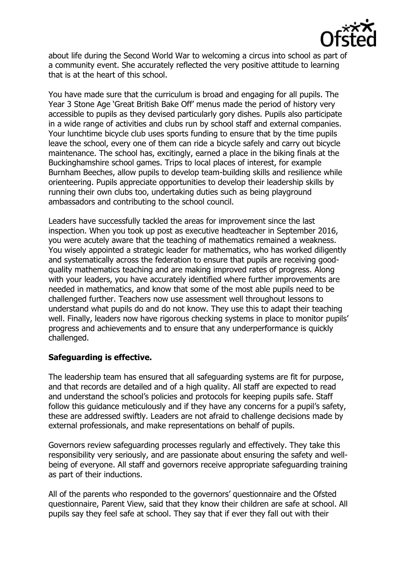

about life during the Second World War to welcoming a circus into school as part of a community event. She accurately reflected the very positive attitude to learning that is at the heart of this school.

You have made sure that the curriculum is broad and engaging for all pupils. The Year 3 Stone Age 'Great British Bake Off' menus made the period of history very accessible to pupils as they devised particularly gory dishes. Pupils also participate in a wide range of activities and clubs run by school staff and external companies. Your lunchtime bicycle club uses sports funding to ensure that by the time pupils leave the school, every one of them can ride a bicycle safely and carry out bicycle maintenance. The school has, excitingly, earned a place in the biking finals at the Buckinghamshire school games. Trips to local places of interest, for example Burnham Beeches, allow pupils to develop team-building skills and resilience while orienteering. Pupils appreciate opportunities to develop their leadership skills by running their own clubs too, undertaking duties such as being playground ambassadors and contributing to the school council.

Leaders have successfully tackled the areas for improvement since the last inspection. When you took up post as executive headteacher in September 2016, you were acutely aware that the teaching of mathematics remained a weakness. You wisely appointed a strategic leader for mathematics, who has worked diligently and systematically across the federation to ensure that pupils are receiving goodquality mathematics teaching and are making improved rates of progress. Along with your leaders, you have accurately identified where further improvements are needed in mathematics, and know that some of the most able pupils need to be challenged further. Teachers now use assessment well throughout lessons to understand what pupils do and do not know. They use this to adapt their teaching well. Finally, leaders now have rigorous checking systems in place to monitor pupils' progress and achievements and to ensure that any underperformance is quickly challenged.

## **Safeguarding is effective.**

The leadership team has ensured that all safeguarding systems are fit for purpose, and that records are detailed and of a high quality. All staff are expected to read and understand the school's policies and protocols for keeping pupils safe. Staff follow this guidance meticulously and if they have any concerns for a pupil's safety, these are addressed swiftly. Leaders are not afraid to challenge decisions made by external professionals, and make representations on behalf of pupils.

Governors review safeguarding processes regularly and effectively. They take this responsibility very seriously, and are passionate about ensuring the safety and wellbeing of everyone. All staff and governors receive appropriate safeguarding training as part of their inductions.

All of the parents who responded to the governors' questionnaire and the Ofsted questionnaire, Parent View, said that they know their children are safe at school. All pupils say they feel safe at school. They say that if ever they fall out with their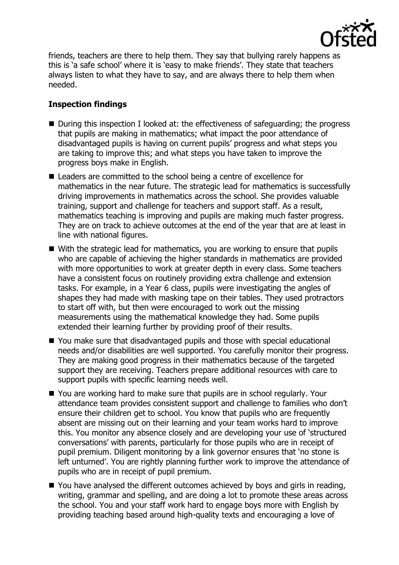

friends, teachers are there to help them. They say that bullying rarely happens as this is 'a safe school' where it is 'easy to make friends'. They state that teachers always listen to what they have to say, and are always there to help them when needed.

# **Inspection findings**

- During this inspection I looked at: the effectiveness of safeguarding; the progress that pupils are making in mathematics; what impact the poor attendance of disadvantaged pupils is having on current pupils' progress and what steps you are taking to improve this; and what steps you have taken to improve the progress boys make in English.
- Leaders are committed to the school being a centre of excellence for mathematics in the near future. The strategic lead for mathematics is successfully driving improvements in mathematics across the school. She provides valuable training, support and challenge for teachers and support staff. As a result, mathematics teaching is improving and pupils are making much faster progress. They are on track to achieve outcomes at the end of the year that are at least in line with national figures.
- With the strategic lead for mathematics, you are working to ensure that pupils who are capable of achieving the higher standards in mathematics are provided with more opportunities to work at greater depth in every class. Some teachers have a consistent focus on routinely providing extra challenge and extension tasks. For example, in a Year 6 class, pupils were investigating the angles of shapes they had made with masking tape on their tables. They used protractors to start off with, but then were encouraged to work out the missing measurements using the mathematical knowledge they had. Some pupils extended their learning further by providing proof of their results.
- You make sure that disadvantaged pupils and those with special educational needs and/or disabilities are well supported. You carefully monitor their progress. They are making good progress in their mathematics because of the targeted support they are receiving. Teachers prepare additional resources with care to support pupils with specific learning needs well.
- You are working hard to make sure that pupils are in school regularly. Your attendance team provides consistent support and challenge to families who don't ensure their children get to school. You know that pupils who are frequently absent are missing out on their learning and your team works hard to improve this. You monitor any absence closely and are developing your use of 'structured conversations' with parents, particularly for those pupils who are in receipt of pupil premium. Diligent monitoring by a link governor ensures that 'no stone is left unturned'. You are rightly planning further work to improve the attendance of pupils who are in receipt of pupil premium.
- You have analysed the different outcomes achieved by boys and girls in reading, writing, grammar and spelling, and are doing a lot to promote these areas across the school. You and your staff work hard to engage boys more with English by providing teaching based around high-quality texts and encouraging a love of